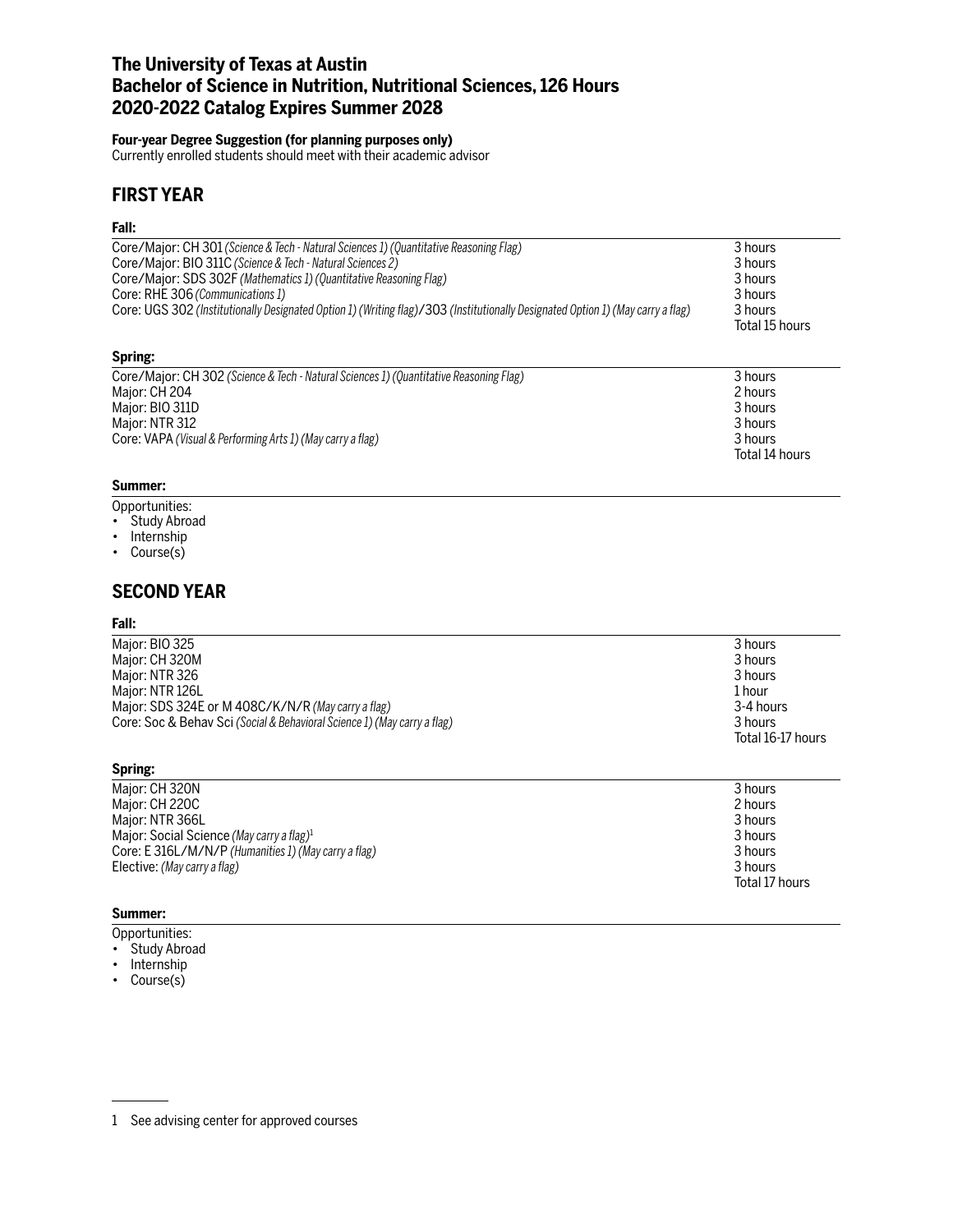# **The University of Texas at Austin Bachelor of Science in Nutrition, Nutritional Sciences, 126 Hours 2020-2022 Catalog Expires Summer 2028**

#### **Four-year Degree Suggestion (for planning purposes only)**

Currently enrolled students should meet with their academic advisor

# **FIRST YEAR**

#### **Fall:**

| Core/Major: CH 301 (Science & Tech - Natural Sciences 1) (Quantitative Reasoning Flag)                                          | 3 hours        |
|---------------------------------------------------------------------------------------------------------------------------------|----------------|
| Core/Major: BIO 311C (Science & Tech - Natural Sciences 2)                                                                      | 3 hours        |
| Core/Major: SDS 302F (Mathematics 1) (Quantitative Reasoning Flag)                                                              | 3 hours        |
| Core: RHE 306 (Communications 1)                                                                                                | 3 hours        |
| Core: UGS 302 (Institutionally Designated Option 1) (Writing flag)/303 (Institutionally Designated Option 1) (May carry a flag) | 3 hours        |
|                                                                                                                                 | Total 15 hours |

#### **Spring:**

| Core/Major: CH 302 (Science & Tech - Natural Sciences 1) (Quantitative Reasoning Flag) | 3 hours        |
|----------------------------------------------------------------------------------------|----------------|
| Major: CH 204                                                                          | 2 hours        |
| Major: BIO 311D                                                                        | 3 hours        |
| Maior: NTR 312                                                                         | 3 hours        |
| Core: VAPA (Visual & Performing Arts 1) (May carry a flag)                             | 3 hours        |
|                                                                                        | Total 14 hours |

### **Summer:**

- Opportunities:
- Study Abroad
- Internship
- Course(s)

### **SECOND YEAR**

#### **Fall:**

| Major: BIO 325                                                           | 3 hours           |
|--------------------------------------------------------------------------|-------------------|
| Major: CH 320M                                                           | 3 hours           |
| Major: NTR 326                                                           | 3 hours           |
| Major: NTR 126L                                                          | 1 hour            |
| Major: SDS 324E or M 408C/K/N/R (May carry a flag)                       | 3-4 hours         |
| Core: Soc & Behav Sci (Social & Behavioral Science 1) (May carry a flag) | 3 hours           |
|                                                                          | Total 16-17 hours |

#### **Spring:**

| Major: CH 320N                                        | 3 hours        |
|-------------------------------------------------------|----------------|
| Major: CH 220C                                        | 2 hours        |
| Maior: NTR 366L                                       | 3 hours        |
| Major: Social Science (May carry a flag) <sup>1</sup> | 3 hours        |
| Core: E 316L/M/N/P (Humanities 1) (May carry a flag)  | 3 hours        |
| Elective: (May carry a flag)                          | 3 hours        |
|                                                       | Total 17 hours |

#### **Summer:**

Opportunities:

- Study Abroad
- Internship
- Course(s)

<sup>1</sup> See advising center for approved courses